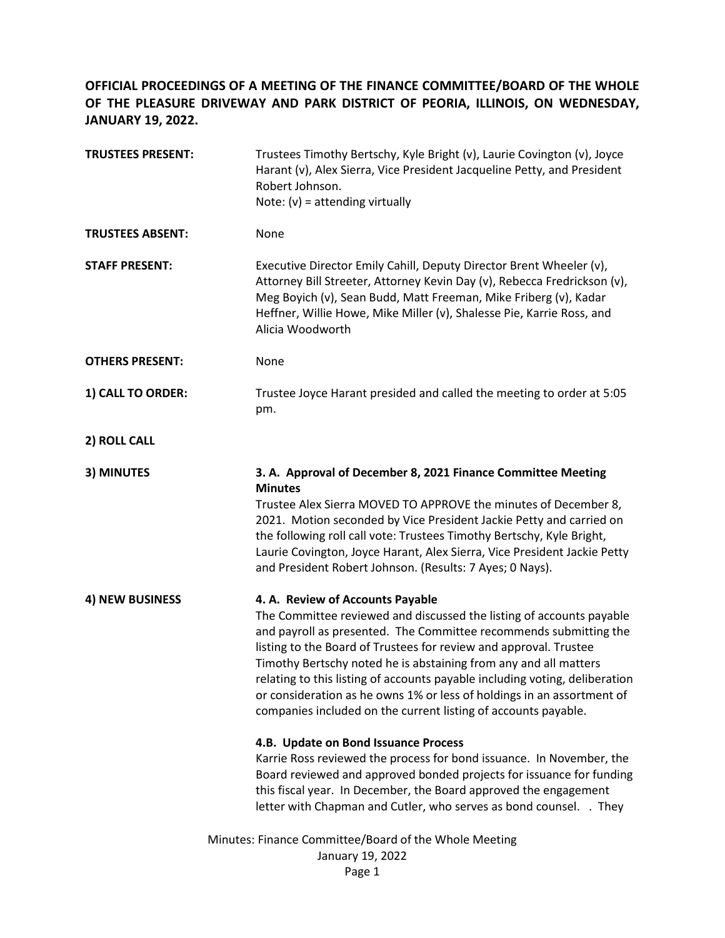## **OFFICIAL PROCEEDINGS OF A MEETING OF THE FINANCE COMMITTEE/BOARD OF THE WHOLE OF THE PLEASURE DRIVEWAY AND PARK DISTRICT OF PEORIA, ILLINOIS, ON WEDNESDAY, JANUARY 19, 2022.**

| <b>TRUSTEES PRESENT:</b> | Trustees Timothy Bertschy, Kyle Bright (v), Laurie Covington (v), Joyce<br>Harant (v), Alex Sierra, Vice President Jacqueline Petty, and President<br>Robert Johnson.<br>Note: $(v)$ = attending virtually                                                                                                                                                                                                                                                                                                                                                                                                                                                                                                                                                                                                                                                                          |
|--------------------------|-------------------------------------------------------------------------------------------------------------------------------------------------------------------------------------------------------------------------------------------------------------------------------------------------------------------------------------------------------------------------------------------------------------------------------------------------------------------------------------------------------------------------------------------------------------------------------------------------------------------------------------------------------------------------------------------------------------------------------------------------------------------------------------------------------------------------------------------------------------------------------------|
| <b>TRUSTEES ABSENT:</b>  | None                                                                                                                                                                                                                                                                                                                                                                                                                                                                                                                                                                                                                                                                                                                                                                                                                                                                                |
| <b>STAFF PRESENT:</b>    | Executive Director Emily Cahill, Deputy Director Brent Wheeler (v),<br>Attorney Bill Streeter, Attorney Kevin Day (v), Rebecca Fredrickson (v),<br>Meg Boyich (v), Sean Budd, Matt Freeman, Mike Friberg (v), Kadar<br>Heffner, Willie Howe, Mike Miller (v), Shalesse Pie, Karrie Ross, and<br>Alicia Woodworth                                                                                                                                                                                                                                                                                                                                                                                                                                                                                                                                                                    |
| <b>OTHERS PRESENT:</b>   | None                                                                                                                                                                                                                                                                                                                                                                                                                                                                                                                                                                                                                                                                                                                                                                                                                                                                                |
| 1) CALL TO ORDER:        | Trustee Joyce Harant presided and called the meeting to order at 5:05<br>pm.                                                                                                                                                                                                                                                                                                                                                                                                                                                                                                                                                                                                                                                                                                                                                                                                        |
| 2) ROLL CALL             |                                                                                                                                                                                                                                                                                                                                                                                                                                                                                                                                                                                                                                                                                                                                                                                                                                                                                     |
| 3) MINUTES               | 3. A. Approval of December 8, 2021 Finance Committee Meeting<br><b>Minutes</b><br>Trustee Alex Sierra MOVED TO APPROVE the minutes of December 8,<br>2021. Motion seconded by Vice President Jackie Petty and carried on<br>the following roll call vote: Trustees Timothy Bertschy, Kyle Bright,<br>Laurie Covington, Joyce Harant, Alex Sierra, Vice President Jackie Petty<br>and President Robert Johnson. (Results: 7 Ayes; 0 Nays).                                                                                                                                                                                                                                                                                                                                                                                                                                           |
| 4) NEW BUSINESS          | 4. A. Review of Accounts Payable<br>The Committee reviewed and discussed the listing of accounts payable<br>and payroll as presented. The Committee recommends submitting the<br>listing to the Board of Trustees for review and approval. Trustee<br>Timothy Bertschy noted he is abstaining from any and all matters<br>relating to this listing of accounts payable including voting, deliberation<br>or consideration as he owns 1% or less of holdings in an assortment of<br>companies included on the current listing of accounts payable.<br>4.B. Update on Bond Issuance Process<br>Karrie Ross reviewed the process for bond issuance. In November, the<br>Board reviewed and approved bonded projects for issuance for funding<br>this fiscal year. In December, the Board approved the engagement<br>letter with Chapman and Cutler, who serves as bond counsel. . They |
|                          | Minutes: Finance Committee/Board of the Whole Meeting<br>January 19, 2022<br>Page 1                                                                                                                                                                                                                                                                                                                                                                                                                                                                                                                                                                                                                                                                                                                                                                                                 |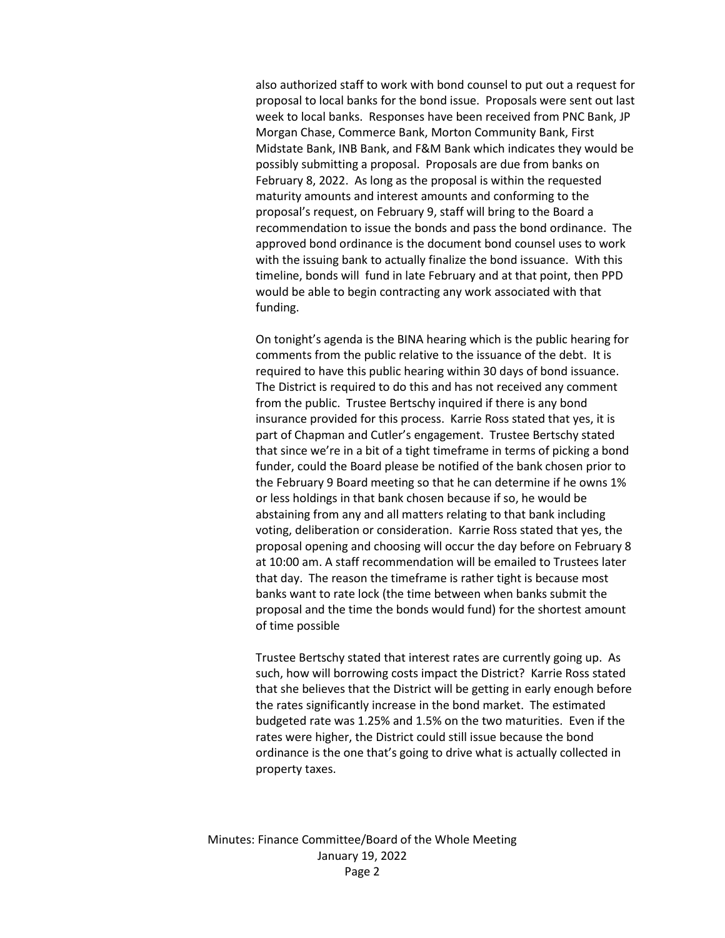also authorized staff to work with bond counsel to put out a request for proposal to local banks for the bond issue. Proposals were sent out last week to local banks. Responses have been received from PNC Bank, JP Morgan Chase, Commerce Bank, Morton Community Bank, First Midstate Bank, INB Bank, and F&M Bank which indicates they would be possibly submitting a proposal. Proposals are due from banks on February 8, 2022. As long as the proposal is within the requested maturity amounts and interest amounts and conforming to the proposal's request, on February 9, staff will bring to the Board a recommendation to issue the bonds and pass the bond ordinance. The approved bond ordinance is the document bond counsel uses to work with the issuing bank to actually finalize the bond issuance. With this timeline, bonds will fund in late February and at that point, then PPD would be able to begin contracting any work associated with that funding.

On tonight's agenda is the BINA hearing which is the public hearing for comments from the public relative to the issuance of the debt. It is required to have this public hearing within 30 days of bond issuance. The District is required to do this and has not received any comment from the public. Trustee Bertschy inquired if there is any bond insurance provided for this process. Karrie Ross stated that yes, it is part of Chapman and Cutler's engagement. Trustee Bertschy stated that since we're in a bit of a tight timeframe in terms of picking a bond funder, could the Board please be notified of the bank chosen prior to the February 9 Board meeting so that he can determine if he owns 1% or less holdings in that bank chosen because if so, he would be abstaining from any and all matters relating to that bank including voting, deliberation or consideration. Karrie Ross stated that yes, the proposal opening and choosing will occur the day before on February 8 at 10:00 am. A staff recommendation will be emailed to Trustees later that day. The reason the timeframe is rather tight is because most banks want to rate lock (the time between when banks submit the proposal and the time the bonds would fund) for the shortest amount of time possible

Trustee Bertschy stated that interest rates are currently going up. As such, how will borrowing costs impact the District? Karrie Ross stated that she believes that the District will be getting in early enough before the rates significantly increase in the bond market. The estimated budgeted rate was 1.25% and 1.5% on the two maturities. Even if the rates were higher, the District could still issue because the bond ordinance is the one that's going to drive what is actually collected in property taxes.

Minutes: Finance Committee/Board of the Whole Meeting January 19, 2022 Page 2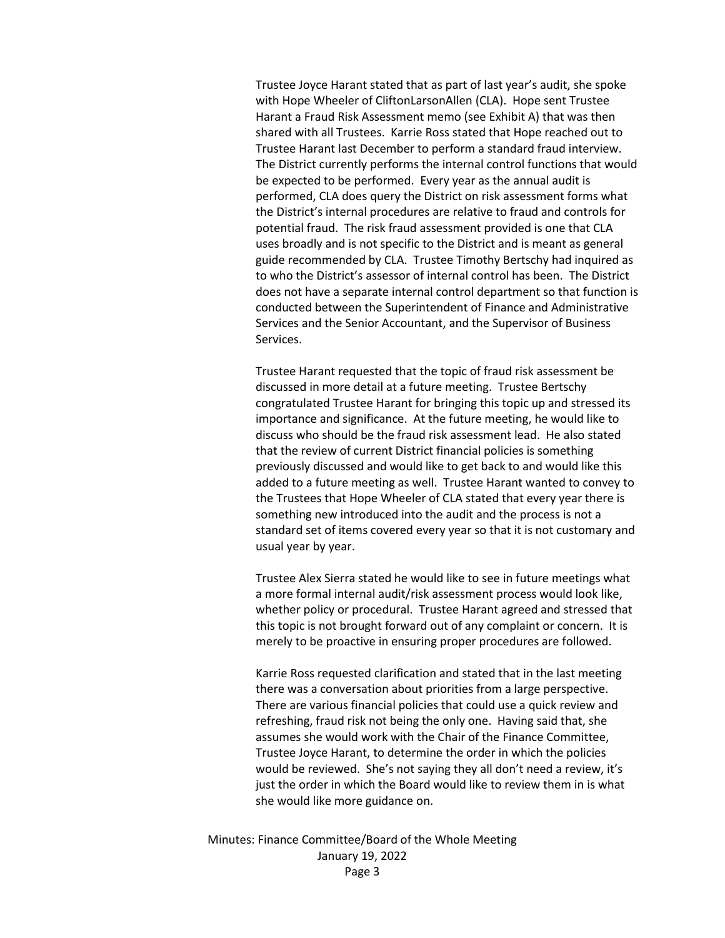Trustee Joyce Harant stated that as part of last year's audit, she spoke with Hope Wheeler of CliftonLarsonAllen (CLA). Hope sent Trustee Harant a Fraud Risk Assessment memo (see Exhibit A) that was then shared with all Trustees. Karrie Ross stated that Hope reached out to Trustee Harant last December to perform a standard fraud interview. The District currently performs the internal control functions that would be expected to be performed. Every year as the annual audit is performed, CLA does query the District on risk assessment forms what the District's internal procedures are relative to fraud and controls for potential fraud. The risk fraud assessment provided is one that CLA uses broadly and is not specific to the District and is meant as general guide recommended by CLA. Trustee Timothy Bertschy had inquired as to who the District's assessor of internal control has been. The District does not have a separate internal control department so that function is conducted between the Superintendent of Finance and Administrative Services and the Senior Accountant, and the Supervisor of Business Services.

Trustee Harant requested that the topic of fraud risk assessment be discussed in more detail at a future meeting. Trustee Bertschy congratulated Trustee Harant for bringing this topic up and stressed its importance and significance. At the future meeting, he would like to discuss who should be the fraud risk assessment lead. He also stated that the review of current District financial policies is something previously discussed and would like to get back to and would like this added to a future meeting as well. Trustee Harant wanted to convey to the Trustees that Hope Wheeler of CLA stated that every year there is something new introduced into the audit and the process is not a standard set of items covered every year so that it is not customary and usual year by year.

Trustee Alex Sierra stated he would like to see in future meetings what a more formal internal audit/risk assessment process would look like, whether policy or procedural. Trustee Harant agreed and stressed that this topic is not brought forward out of any complaint or concern. It is merely to be proactive in ensuring proper procedures are followed.

Karrie Ross requested clarification and stated that in the last meeting there was a conversation about priorities from a large perspective. There are various financial policies that could use a quick review and refreshing, fraud risk not being the only one. Having said that, she assumes she would work with the Chair of the Finance Committee, Trustee Joyce Harant, to determine the order in which the policies would be reviewed. She's not saying they all don't need a review, it's just the order in which the Board would like to review them in is what she would like more guidance on.

Minutes: Finance Committee/Board of the Whole Meeting January 19, 2022 Page 3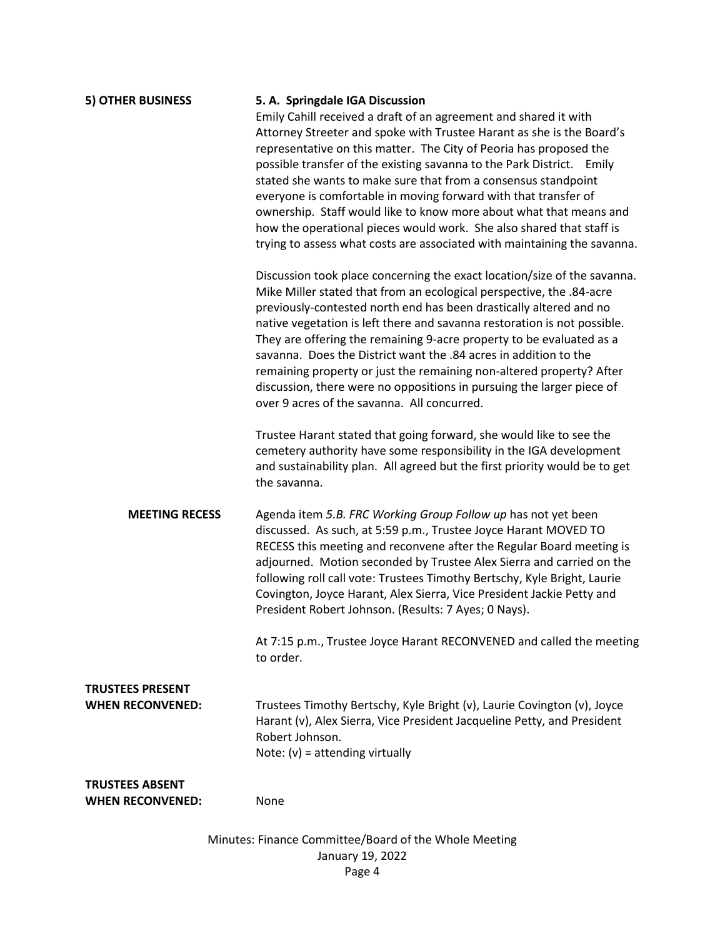| <b>5) OTHER BUSINESS</b>                           | 5. A. Springdale IGA Discussion<br>Emily Cahill received a draft of an agreement and shared it with<br>Attorney Streeter and spoke with Trustee Harant as she is the Board's<br>representative on this matter. The City of Peoria has proposed the<br>possible transfer of the existing savanna to the Park District. Emily<br>stated she wants to make sure that from a consensus standpoint<br>everyone is comfortable in moving forward with that transfer of<br>ownership. Staff would like to know more about what that means and<br>how the operational pieces would work. She also shared that staff is<br>trying to assess what costs are associated with maintaining the savanna.<br>Discussion took place concerning the exact location/size of the savanna.<br>Mike Miller stated that from an ecological perspective, the .84-acre<br>previously-contested north end has been drastically altered and no<br>native vegetation is left there and savanna restoration is not possible.<br>They are offering the remaining 9-acre property to be evaluated as a<br>savanna. Does the District want the .84 acres in addition to the<br>remaining property or just the remaining non-altered property? After<br>discussion, there were no oppositions in pursuing the larger piece of<br>over 9 acres of the savanna. All concurred. |
|----------------------------------------------------|----------------------------------------------------------------------------------------------------------------------------------------------------------------------------------------------------------------------------------------------------------------------------------------------------------------------------------------------------------------------------------------------------------------------------------------------------------------------------------------------------------------------------------------------------------------------------------------------------------------------------------------------------------------------------------------------------------------------------------------------------------------------------------------------------------------------------------------------------------------------------------------------------------------------------------------------------------------------------------------------------------------------------------------------------------------------------------------------------------------------------------------------------------------------------------------------------------------------------------------------------------------------------------------------------------------------------------------------|
|                                                    | Trustee Harant stated that going forward, she would like to see the<br>cemetery authority have some responsibility in the IGA development<br>and sustainability plan. All agreed but the first priority would be to get<br>the savanna.                                                                                                                                                                                                                                                                                                                                                                                                                                                                                                                                                                                                                                                                                                                                                                                                                                                                                                                                                                                                                                                                                                      |
| <b>MEETING RECESS</b>                              | Agenda item 5.B. FRC Working Group Follow up has not yet been<br>discussed. As such, at 5:59 p.m., Trustee Joyce Harant MOVED TO<br>RECESS this meeting and reconvene after the Regular Board meeting is<br>adjourned. Motion seconded by Trustee Alex Sierra and carried on the<br>following roll call vote: Trustees Timothy Bertschy, Kyle Bright, Laurie<br>Covington, Joyce Harant, Alex Sierra, Vice President Jackie Petty and<br>President Robert Johnson. (Results: 7 Ayes; 0 Nays).                                                                                                                                                                                                                                                                                                                                                                                                                                                                                                                                                                                                                                                                                                                                                                                                                                                |
|                                                    | At 7:15 p.m., Trustee Joyce Harant RECONVENED and called the meeting<br>to order.                                                                                                                                                                                                                                                                                                                                                                                                                                                                                                                                                                                                                                                                                                                                                                                                                                                                                                                                                                                                                                                                                                                                                                                                                                                            |
| <b>TRUSTEES PRESENT</b><br><b>WHEN RECONVENED:</b> | Trustees Timothy Bertschy, Kyle Bright (v), Laurie Covington (v), Joyce<br>Harant (v), Alex Sierra, Vice President Jacqueline Petty, and President<br>Robert Johnson.<br>Note: $(v)$ = attending virtually                                                                                                                                                                                                                                                                                                                                                                                                                                                                                                                                                                                                                                                                                                                                                                                                                                                                                                                                                                                                                                                                                                                                   |
| <b>TRUSTEES ABSENT</b><br><b>WHEN RECONVENED:</b>  | None                                                                                                                                                                                                                                                                                                                                                                                                                                                                                                                                                                                                                                                                                                                                                                                                                                                                                                                                                                                                                                                                                                                                                                                                                                                                                                                                         |

Minutes: Finance Committee/Board of the Whole Meeting January 19, 2022 Page 4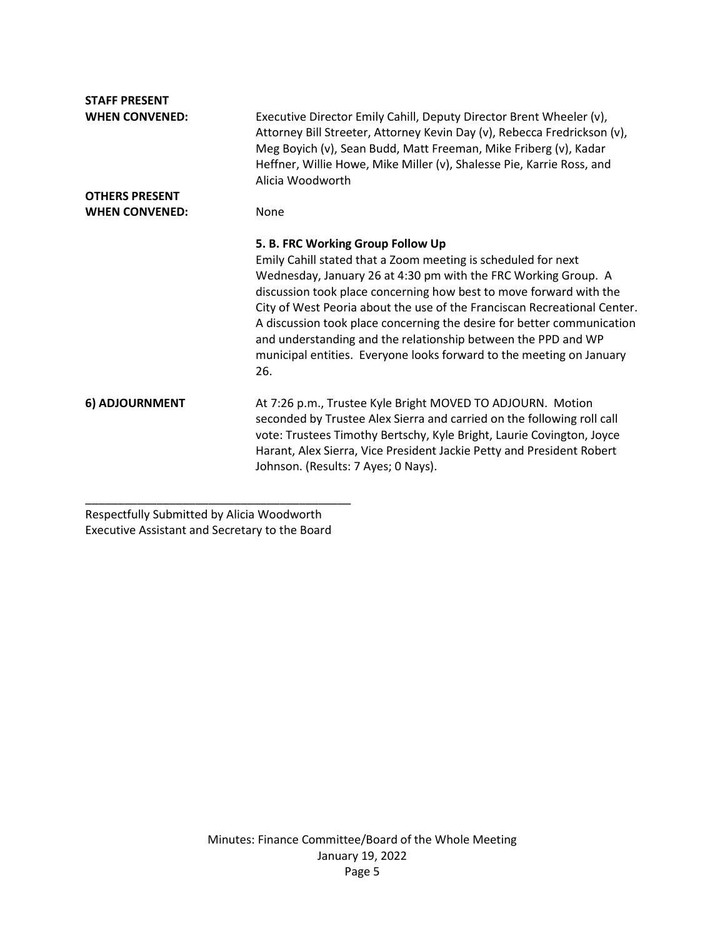| <b>STAFF PRESENT</b>  |                                                                                                                                                                                                                                                                                                                                                                                                                                                                                                             |
|-----------------------|-------------------------------------------------------------------------------------------------------------------------------------------------------------------------------------------------------------------------------------------------------------------------------------------------------------------------------------------------------------------------------------------------------------------------------------------------------------------------------------------------------------|
| <b>WHEN CONVENED:</b> | Executive Director Emily Cahill, Deputy Director Brent Wheeler (v),<br>Attorney Bill Streeter, Attorney Kevin Day (v), Rebecca Fredrickson (v),<br>Meg Boyich (v), Sean Budd, Matt Freeman, Mike Friberg (v), Kadar<br>Heffner, Willie Howe, Mike Miller (v), Shalesse Pie, Karrie Ross, and<br>Alicia Woodworth                                                                                                                                                                                            |
| <b>OTHERS PRESENT</b> |                                                                                                                                                                                                                                                                                                                                                                                                                                                                                                             |
| <b>WHEN CONVENED:</b> | None                                                                                                                                                                                                                                                                                                                                                                                                                                                                                                        |
|                       | 5. B. FRC Working Group Follow Up                                                                                                                                                                                                                                                                                                                                                                                                                                                                           |
|                       | Emily Cahill stated that a Zoom meeting is scheduled for next<br>Wednesday, January 26 at 4:30 pm with the FRC Working Group. A<br>discussion took place concerning how best to move forward with the<br>City of West Peoria about the use of the Franciscan Recreational Center.<br>A discussion took place concerning the desire for better communication<br>and understanding and the relationship between the PPD and WP<br>municipal entities. Everyone looks forward to the meeting on January<br>26. |
| 6) ADJOURNMENT        | At 7:26 p.m., Trustee Kyle Bright MOVED TO ADJOURN. Motion<br>seconded by Trustee Alex Sierra and carried on the following roll call<br>vote: Trustees Timothy Bertschy, Kyle Bright, Laurie Covington, Joyce<br>Harant, Alex Sierra, Vice President Jackie Petty and President Robert<br>Johnson. (Results: 7 Ayes; 0 Nays).                                                                                                                                                                               |

Respectfully Submitted by Alicia Woodworth Executive Assistant and Secretary to the Board

\_\_\_\_\_\_\_\_\_\_\_\_\_\_\_\_\_\_\_\_\_\_\_\_\_\_\_\_\_\_\_\_\_\_\_\_\_\_\_\_\_